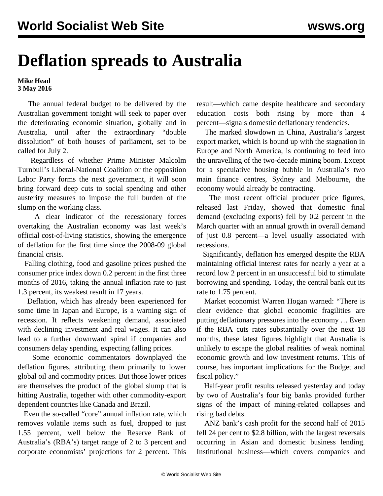## **Deflation spreads to Australia**

**Mike Head 3 May 2016**

 The annual federal budget to be delivered by the Australian government tonight will seek to paper over the deteriorating economic situation, globally and in Australia, until after the extraordinary "double dissolution" of both houses of parliament, set to be called for July 2.

 Regardless of whether Prime Minister Malcolm Turnbull's Liberal-National Coalition or the opposition Labor Party forms the next government, it will soon bring forward deep cuts to social spending and other austerity measures to impose the full burden of the slump on the working class.

 A clear indicator of the recessionary forces overtaking the Australian economy was last week's official cost-of-living statistics, showing the emergence of deflation for the first time since the 2008-09 global financial crisis.

 Falling clothing, food and gasoline prices pushed the consumer price index down 0.2 percent in the first three months of 2016, taking the annual inflation rate to just 1.3 percent, its weakest result in 17 years.

 Deflation, which has already been experienced for some time in Japan and Europe, is a warning sign of recession. It reflects weakening demand, associated with declining investment and real wages. It can also lead to a further downward spiral if companies and consumers delay spending, expecting falling prices.

 Some economic commentators downplayed the deflation figures, attributing them primarily to lower global oil and commodity prices. But those lower prices are themselves the product of the global slump that is hitting Australia, together with other commodity-export dependent countries like Canada and Brazil.

 Even the so-called "core" annual inflation rate, which removes volatile items such as fuel, dropped to just 1.55 percent, well below the Reserve Bank of Australia's (RBA's) target range of 2 to 3 percent and corporate economists' projections for 2 percent. This

result—which came despite healthcare and secondary education costs both rising by more than 4 percent—signals domestic deflationary tendencies.

 The marked slowdown in China, Australia's largest export market, which is bound up with the stagnation in Europe and North America, is continuing to feed into the unravelling of the two-decade mining boom. Except for a speculative housing bubble in Australia's two main finance centres, Sydney and Melbourne, the economy would already be contracting.

 The most recent official producer price figures, released last Friday, showed that domestic final demand (excluding exports) fell by 0.2 percent in the March quarter with an annual growth in overall demand of just 0.8 percent—a level usually associated with recessions.

 Significantly, deflation has emerged despite the RBA maintaining official interest rates for nearly a year at a record low 2 percent in an unsuccessful bid to stimulate borrowing and spending. Today, the central bank cut its rate to 1.75 percent.

 Market economist Warren Hogan warned: "There is clear evidence that global economic fragilities are putting deflationary pressures into the economy … Even if the RBA cuts rates substantially over the next 18 months, these latest figures highlight that Australia is unlikely to escape the global realities of weak nominal economic growth and low investment returns. This of course, has important implications for the Budget and fiscal policy."

 Half-year profit results released yesterday and today by two of Australia's four big banks provided further signs of the impact of mining-related collapses and rising bad debts.

 ANZ bank's cash profit for the second half of 2015 fell 24 per cent to \$2.8 billion, with the largest reversals occurring in Asian and domestic business lending. Institutional business—which covers companies and